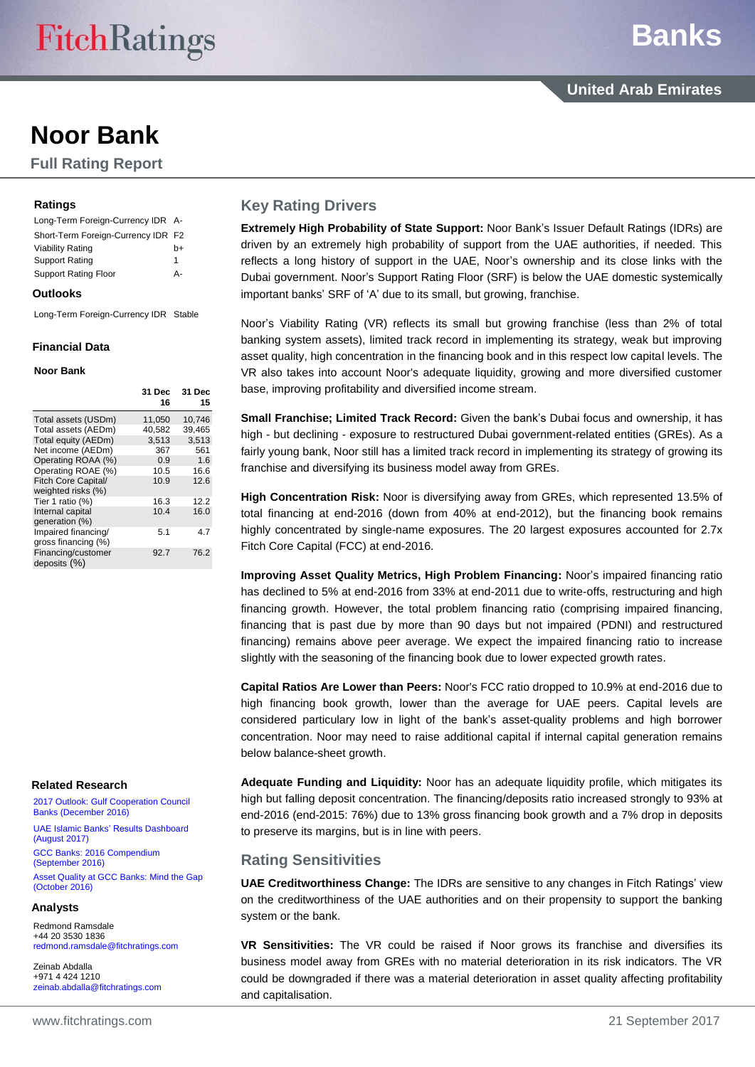# **Noor Bank**

**Full Rating Report**

#### **Ratings**

| Long-Term Foreign-Currency IDR A-  |    |
|------------------------------------|----|
| Short-Term Foreign-Currency IDR F2 |    |
| Viability Rating                   | h+ |
| Support Rating                     | 1  |
| <b>Support Rating Floor</b>        | д. |

#### **Outlooks**

Long-Term Foreign-Currency IDR Stable

#### **Financial Data**

#### **Noor Bank**

|                     | 31 Dec<br>16 | <b>31 Dec</b><br>15 |
|---------------------|--------------|---------------------|
| Total assets (USDm) | 11,050       | 10,746              |
| Total assets (AEDm) | 40.582       | 39,465              |
| Total equity (AEDm) | 3,513        | 3,513               |
| Net income (AEDm)   | 367          | 561                 |
| Operating ROAA (%)  | 0.9          | 1.6                 |
| Operating ROAE (%)  | 10.5         | 16.6                |
| Fitch Core Capital/ | 10.9         | 12.6                |
| weighted risks (%)  |              |                     |
| Tier 1 ratio (%)    | 16.3         | 12.2                |
| Internal capital    | 10.4         | 16.0                |
| generation (%)      |              |                     |
| Impaired financing/ | 5.1          | 4.7                 |
| gross financing (%) |              |                     |
| Financing/customer  | 92.7         | 76.2                |
| deposits $(%)$      |              |                     |
|                     |              |                     |

#### **Related Research**

[2017 Outlook: Gulf Cooperation Council](https://www.fitchratings.com/site/re/891064)  [Banks \(December](https://www.fitchratings.com/site/re/891064) 2016)

[UAE Islamic Banks' Results](https://www.fitchratings.com/site/re/902151) Dashboard [\(August](https://www.fitchratings.com/site/re/902151) 2017) GCC Banks: [2016 Compendium](https://www.fitchratings.com/site/re/886793)  [\(September](https://www.fitchratings.com/site/re/886793) 2016)

[Asset Quality at GCC Banks: Mind the Gap](https://www.fitchratings.com/site/re/886792)  [\(October](https://www.fitchratings.com/site/re/886792) 2016)

#### **Analysts**

Redmond Ramsdale +44 20 3530 1836 [redmond.ramsdale@fitchratings.com](mailto:redmond.ramsdale@fitchratings.com)

Zeinab Abdalla +971 4 424 1210 [zeinab.abdalla@fitchratings.com](mailto:zeinab.abdalla@fitchratings.com)

# **Key Rating Drivers**

**Extremely High Probability of State Support:** Noor Bank's Issuer Default Ratings (IDRs) are driven by an extremely high probability of support from the UAE authorities, if needed. This reflects a long history of support in the UAE, Noor's ownership and its close links with the Dubai government. Noor's Support Rating Floor (SRF) is below the UAE domestic systemically important banks' SRF of 'A' due to its small, but growing, franchise.

Noor's Viability Rating (VR) reflects its small but growing franchise (less than 2% of total banking system assets), limited track record in implementing its strategy, weak but improving asset quality, high concentration in the financing book and in this respect low capital levels. The VR also takes into account Noor's adequate liquidity, growing and more diversified customer base, improving profitability and diversified income stream.

**Small Franchise; Limited Track Record:** Given the bank's Dubai focus and ownership, it has high - but declining - exposure to restructured Dubai government-related entities (GREs). As a fairly young bank, Noor still has a limited track record in implementing its strategy of growing its franchise and diversifying its business model away from GREs.

**High Concentration Risk:** Noor is diversifying away from GREs, which represented 13.5% of total financing at end-2016 (down from 40% at end-2012), but the financing book remains highly concentrated by single-name exposures. The 20 largest exposures accounted for 2.7x Fitch Core Capital (FCC) at end-2016.

**Improving Asset Quality Metrics, High Problem Financing:** Noor's impaired financing ratio has declined to 5% at end-2016 from 33% at end-2011 due to write-offs, restructuring and high financing growth. However, the total problem financing ratio (comprising impaired financing, financing that is past due by more than 90 days but not impaired (PDNI) and restructured financing) remains above peer average. We expect the impaired financing ratio to increase slightly with the seasoning of the financing book due to lower expected growth rates.

**Capital Ratios Are Lower than Peers:** Noor's FCC ratio dropped to 10.9% at end-2016 due to high financing book growth, lower than the average for UAE peers. Capital levels are considered particulary low in light of the bank's asset-quality problems and high borrower concentration. Noor may need to raise additional capital if internal capital generation remains below balance-sheet growth.

**Adequate Funding and Liquidity:** Noor has an adequate liquidity profile, which mitigates its high but falling deposit concentration. The financing/deposits ratio increased strongly to 93% at end-2016 (end-2015: 76%) due to 13% gross financing book growth and a 7% drop in deposits to preserve its margins, but is in line with peers.

# **Rating Sensitivities**

**UAE Creditworthiness Change:** The IDRs are sensitive to any changes in Fitch Ratings' view on the creditworthiness of the UAE authorities and on their propensity to support the banking system or the bank.

**VR Sensitivities:** The VR could be raised if Noor grows its franchise and diversifies its business model away from GREs with no material deterioration in its risk indicators. The VR could be downgraded if there was a material deterioration in asset quality affecting profitability and capitalisation.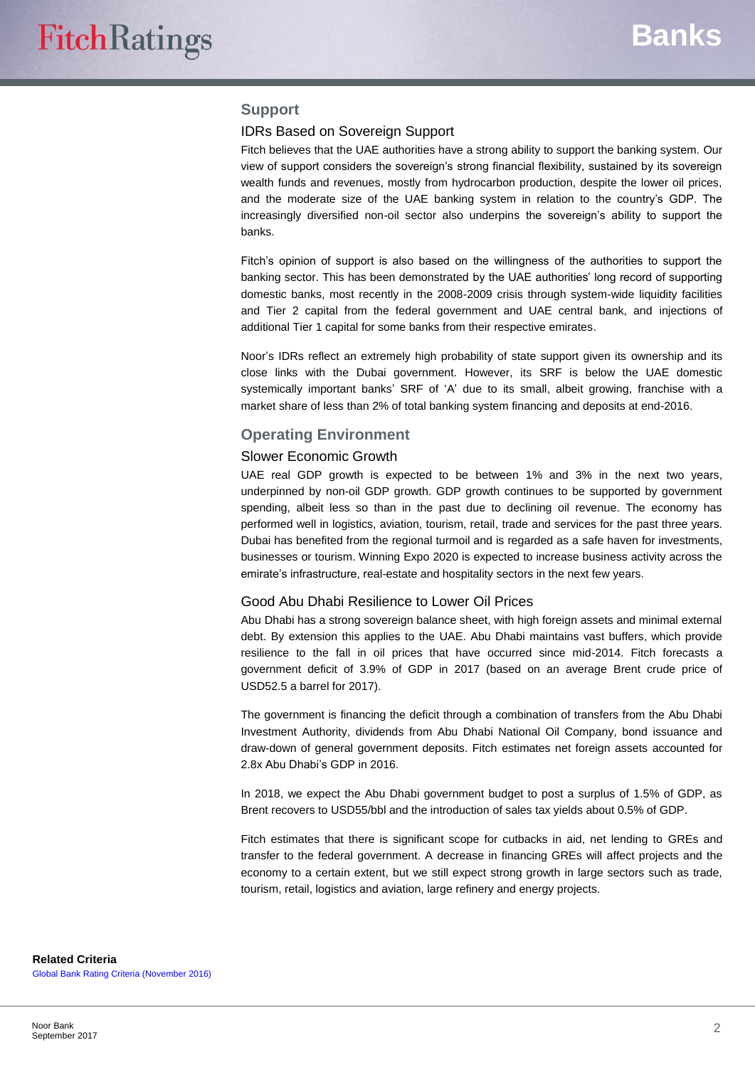## **Support**

#### IDRs Based on Sovereign Support

Fitch believes that the UAE authorities have a strong ability to support the banking system. Our view of support considers the sovereign's strong financial flexibility, sustained by its sovereign wealth funds and revenues, mostly from hydrocarbon production, despite the lower oil prices, and the moderate size of the UAE banking system in relation to the country's GDP. The increasingly diversified non-oil sector also underpins the sovereign's ability to support the banks.

Fitch's opinion of support is also based on the willingness of the authorities to support the banking sector. This has been demonstrated by the UAE authorities' long record of supporting domestic banks, most recently in the 2008-2009 crisis through system-wide liquidity facilities and Tier 2 capital from the federal government and UAE central bank, and injections of additional Tier 1 capital for some banks from their respective emirates.

Noor's IDRs reflect an extremely high probability of state support given its ownership and its close links with the Dubai government. However, its SRF is below the UAE domestic systemically important banks' SRF of 'A' due to its small, albeit growing, franchise with a market share of less than 2% of total banking system financing and deposits at end-2016.

#### **Operating Environment**

#### Slower Economic Growth

UAE real GDP growth is expected to be between 1% and 3% in the next two years, underpinned by non-oil GDP growth. GDP growth continues to be supported by government spending, albeit less so than in the past due to declining oil revenue. The economy has performed well in logistics, aviation, tourism, retail, trade and services for the past three years. Dubai has benefited from the regional turmoil and is regarded as a safe haven for investments, businesses or tourism. Winning Expo 2020 is expected to increase business activity across the emirate's infrastructure, real-estate and hospitality sectors in the next few years.

#### Good Abu Dhabi Resilience to Lower Oil Prices

Abu Dhabi has a strong sovereign balance sheet, with high foreign assets and minimal external debt. By extension this applies to the UAE. Abu Dhabi maintains vast buffers, which provide resilience to the fall in oil prices that have occurred since mid-2014. Fitch forecasts a government deficit of 3.9% of GDP in 2017 (based on an average Brent crude price of USD52.5 a barrel for 2017).

The government is financing the deficit through a combination of transfers from the Abu Dhabi Investment Authority, dividends from Abu Dhabi National Oil Company, bond issuance and draw-down of general government deposits. Fitch estimates net foreign assets accounted for 2.8x Abu Dhabi's GDP in 2016.

In 2018, we expect the Abu Dhabi government budget to post a surplus of 1.5% of GDP, as Brent recovers to USD55/bbl and the introduction of sales tax yields about 0.5% of GDP.

Fitch estimates that there is significant scope for cutbacks in aid, net lending to GREs and transfer to the federal government. A decrease in financing GREs will affect projects and the economy to a certain extent, but we still expect strong growth in large sectors such as trade, tourism, retail, logistics and aviation, large refinery and energy projects.

**Related Criteria** [Global Bank Rating Criteria \(November](https://www.fitchratings.com/site/re/891051) 2016)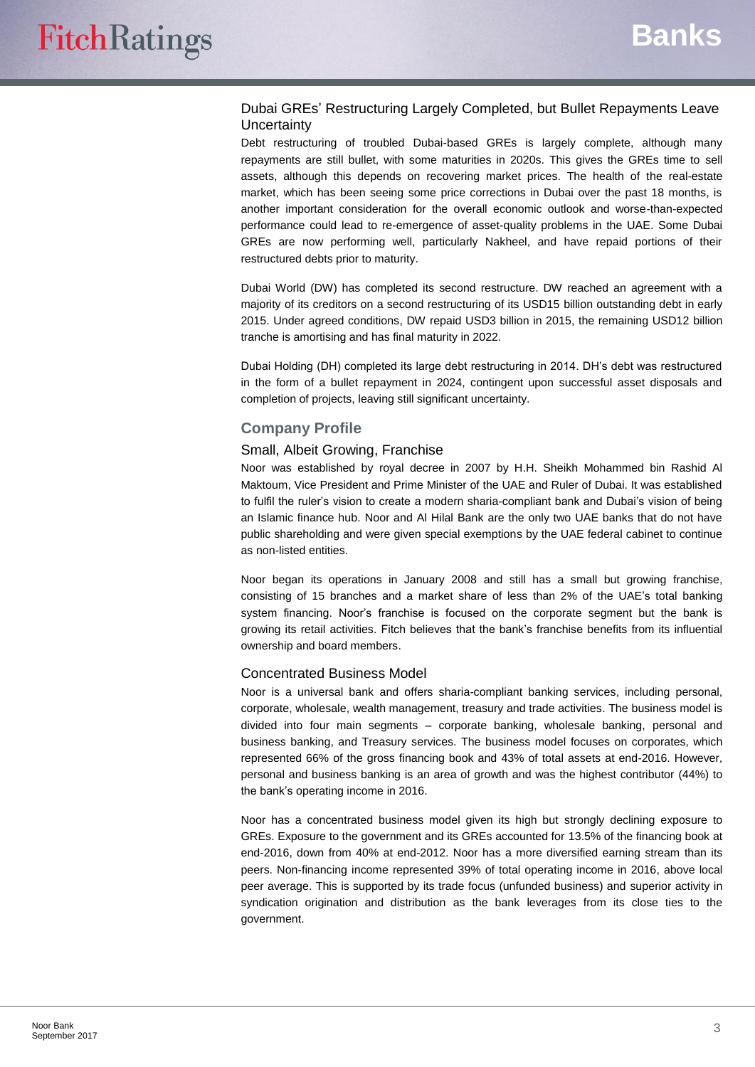## Dubai GREs' Restructuring Largely Completed, but Bullet Repayments Leave **Uncertainty**

Debt restructuring of troubled Dubai-based GREs is largely complete, although many repayments are still bullet, with some maturities in 2020s. This gives the GREs time to sell assets, although this depends on recovering market prices. The health of the real-estate market, which has been seeing some price corrections in Dubai over the past 18 months, is another important consideration for the overall economic outlook and worse-than-expected performance could lead to re-emergence of asset-quality problems in the UAE. Some Dubai GREs are now performing well, particularly Nakheel, and have repaid portions of their restructured debts prior to maturity.

Dubai World (DW) has completed its second restructure. DW reached an agreement with a majority of its creditors on a second restructuring of its USD15 billion outstanding debt in early 2015. Under agreed conditions, DW repaid USD3 billion in 2015, the remaining USD12 billion tranche is amortising and has final maturity in 2022.

Dubai Holding (DH) completed its large debt restructuring in 2014. DH's debt was restructured in the form of a bullet repayment in 2024, contingent upon successful asset disposals and completion of projects, leaving still significant uncertainty.

# **Company Profile**

## Small, Albeit Growing, Franchise

Noor was established by royal decree in 2007 by H.H. Sheikh Mohammed bin Rashid Al Maktoum, Vice President and Prime Minister of the UAE and Ruler of Dubai. It was established to fulfil the ruler's vision to create a modern sharia-compliant bank and Dubai's vision of being an Islamic finance hub. Noor and Al Hilal Bank are the only two UAE banks that do not have public shareholding and were given special exemptions by the UAE federal cabinet to continue as non-listed entities.

Noor began its operations in January 2008 and still has a small but growing franchise, consisting of 15 branches and a market share of less than 2% of the UAE's total banking system financing. Noor's franchise is focused on the corporate segment but the bank is growing its retail activities. Fitch believes that the bank's franchise benefits from its influential ownership and board members.

#### Concentrated Business Model

Noor is a universal bank and offers sharia-compliant banking services, including personal, corporate, wholesale, wealth management, treasury and trade activities. The business model is divided into four main segments – corporate banking, wholesale banking, personal and business banking, and Treasury services. The business model focuses on corporates, which represented 66% of the gross financing book and 43% of total assets at end-2016. However, personal and business banking is an area of growth and was the highest contributor (44%) to the bank's operating income in 2016.

Noor has a concentrated business model given its high but strongly declining exposure to GREs. Exposure to the government and its GREs accounted for 13.5% of the financing book at end-2016, down from 40% at end-2012. Noor has a more diversified earning stream than its peers. Non-financing income represented 39% of total operating income in 2016, above local peer average. This is supported by its trade focus (unfunded business) and superior activity in syndication origination and distribution as the bank leverages from its close ties to the government.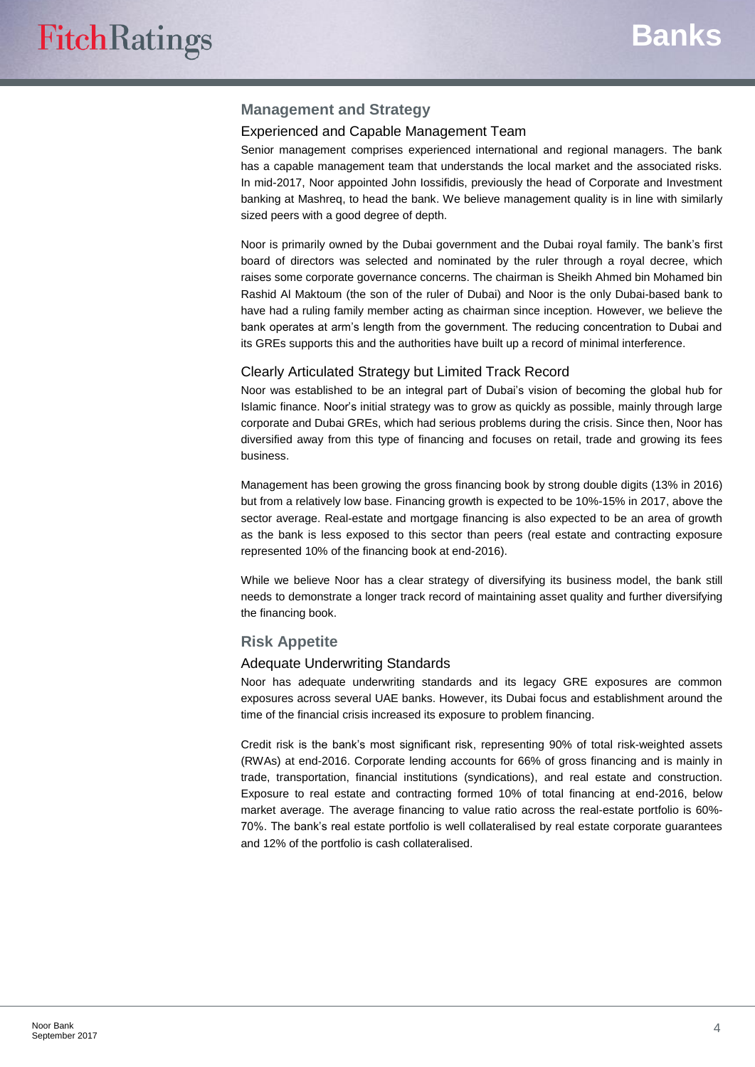## **Management and Strategy**

#### Experienced and Capable Management Team

Senior management comprises experienced international and regional managers. The bank has a capable management team that understands the local market and the associated risks. In mid-2017, Noor appointed John Iossifidis, previously the head of Corporate and Investment banking at Mashreq, to head the bank. We believe management quality is in line with similarly sized peers with a good degree of depth.

Noor is primarily owned by the Dubai government and the Dubai royal family. The bank's first board of directors was selected and nominated by the ruler through a royal decree, which raises some corporate governance concerns. The chairman is Sheikh Ahmed bin Mohamed bin Rashid Al Maktoum (the son of the ruler of Dubai) and Noor is the only Dubai-based bank to have had a ruling family member acting as chairman since inception. However, we believe the bank operates at arm's length from the government. The reducing concentration to Dubai and its GREs supports this and the authorities have built up a record of minimal interference.

#### Clearly Articulated Strategy but Limited Track Record

Noor was established to be an integral part of Dubai's vision of becoming the global hub for Islamic finance. Noor's initial strategy was to grow as quickly as possible, mainly through large corporate and Dubai GREs, which had serious problems during the crisis. Since then, Noor has diversified away from this type of financing and focuses on retail, trade and growing its fees business.

Management has been growing the gross financing book by strong double digits (13% in 2016) but from a relatively low base. Financing growth is expected to be 10%-15% in 2017, above the sector average. Real-estate and mortgage financing is also expected to be an area of growth as the bank is less exposed to this sector than peers (real estate and contracting exposure represented 10% of the financing book at end-2016).

While we believe Noor has a clear strategy of diversifying its business model, the bank still needs to demonstrate a longer track record of maintaining asset quality and further diversifying the financing book.

#### **Risk Appetite**

#### Adequate Underwriting Standards

Noor has adequate underwriting standards and its legacy GRE exposures are common exposures across several UAE banks. However, its Dubai focus and establishment around the time of the financial crisis increased its exposure to problem financing.

Credit risk is the bank's most significant risk, representing 90% of total risk-weighted assets (RWAs) at end-2016. Corporate lending accounts for 66% of gross financing and is mainly in trade, transportation, financial institutions (syndications), and real estate and construction. Exposure to real estate and contracting formed 10% of total financing at end-2016, below market average. The average financing to value ratio across the real-estate portfolio is 60%- 70%. The bank's real estate portfolio is well collateralised by real estate corporate guarantees and 12% of the portfolio is cash collateralised.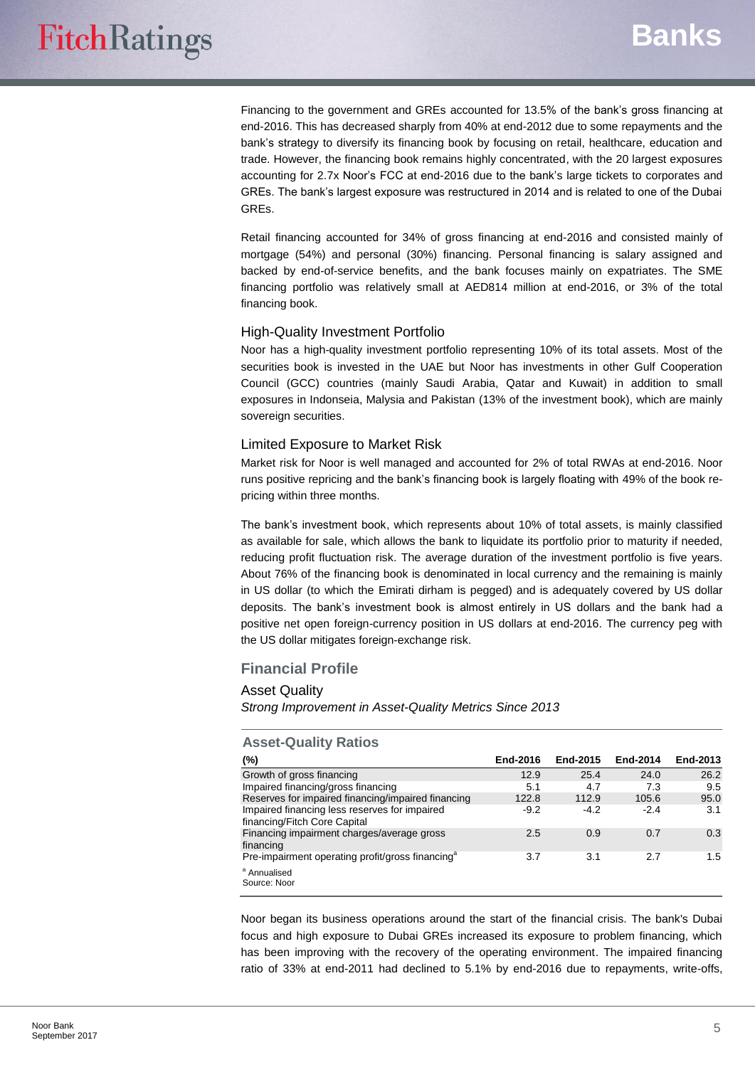Financing to the government and GREs accounted for 13.5% of the bank's gross financing at end-2016. This has decreased sharply from 40% at end-2012 due to some repayments and the bank's strategy to diversify its financing book by focusing on retail, healthcare, education and trade. However, the financing book remains highly concentrated, with the 20 largest exposures accounting for 2.7x Noor's FCC at end-2016 due to the bank's large tickets to corporates and GREs. The bank's largest exposure was restructured in 2014 and is related to one of the Dubai GREs.

Retail financing accounted for 34% of gross financing at end-2016 and consisted mainly of mortgage (54%) and personal (30%) financing. Personal financing is salary assigned and backed by end-of-service benefits, and the bank focuses mainly on expatriates. The SME financing portfolio was relatively small at AED814 million at end-2016, or 3% of the total financing book.

#### High-Quality Investment Portfolio

Noor has a high-quality investment portfolio representing 10% of its total assets. Most of the securities book is invested in the UAE but Noor has investments in other Gulf Cooperation Council (GCC) countries (mainly Saudi Arabia, Qatar and Kuwait) in addition to small exposures in Indonseia, Malysia and Pakistan (13% of the investment book), which are mainly sovereign securities.

#### Limited Exposure to Market Risk

Market risk for Noor is well managed and accounted for 2% of total RWAs at end-2016. Noor runs positive repricing and the bank's financing book is largely floating with 49% of the book repricing within three months.

The bank's investment book, which represents about 10% of total assets, is mainly classified as available for sale, which allows the bank to liquidate its portfolio prior to maturity if needed, reducing profit fluctuation risk. The average duration of the investment portfolio is five years. About 76% of the financing book is denominated in local currency and the remaining is mainly in US dollar (to which the Emirati dirham is pegged) and is adequately covered by US dollar deposits. The bank's investment book is almost entirely in US dollars and the bank had a positive net open foreign-currency position in US dollars at end-2016. The currency peg with the US dollar mitigates foreign-exchange risk.

#### **Financial Profile**

#### Asset Quality

*Strong Improvement in Asset-Quality Metrics Since 2013*

| ASSULATION ITALING                                                            |          |          |          |          |
|-------------------------------------------------------------------------------|----------|----------|----------|----------|
| (%)                                                                           | End-2016 | End-2015 | End-2014 | End-2013 |
| Growth of gross financing                                                     | 12.9     | 25.4     | 24.0     | 26.2     |
| Impaired financing/gross financing                                            | 5.1      | 4.7      | 7.3      | 9.5      |
| Reserves for impaired financing/impaired financing                            | 122.8    | 112.9    | 105.6    | 95.0     |
| Impaired financing less reserves for impaired<br>financing/Fitch Core Capital | $-9.2$   | $-4.2$   | $-2.4$   | 3.1      |
| Financing impairment charges/average gross<br>financing                       | 2.5      | 0.9      | 0.7      | 0.3      |
| Pre-impairment operating profit/gross financing <sup>a</sup>                  | 3.7      | 3.1      | 2.7      | 1.5      |
| <sup>a</sup> Annualised<br>Source: Noor                                       |          |          |          |          |

Noor began its business operations around the start of the financial crisis. The bank's Dubai focus and high exposure to Dubai GREs increased its exposure to problem financing, which has been improving with the recovery of the operating environment. The impaired financing ratio of 33% at end-2011 had declined to 5.1% by end-2016 due to repayments, write-offs,

# **Asset-Quality Ratios**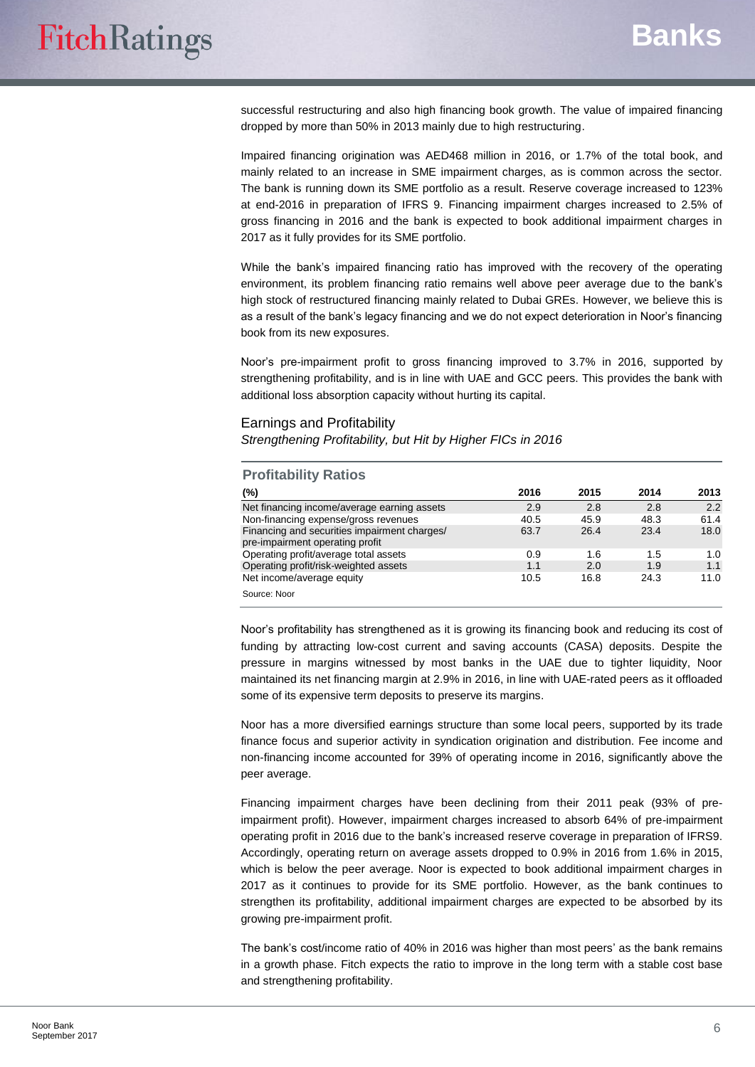successful restructuring and also high financing book growth. The value of impaired financing dropped by more than 50% in 2013 mainly due to high restructuring.

Impaired financing origination was AED468 million in 2016, or 1.7% of the total book, and mainly related to an increase in SME impairment charges, as is common across the sector. The bank is running down its SME portfolio as a result. Reserve coverage increased to 123% at end-2016 in preparation of IFRS 9. Financing impairment charges increased to 2.5% of gross financing in 2016 and the bank is expected to book additional impairment charges in 2017 as it fully provides for its SME portfolio.

While the bank's impaired financing ratio has improved with the recovery of the operating environment, its problem financing ratio remains well above peer average due to the bank's high stock of restructured financing mainly related to Dubai GREs. However, we believe this is as a result of the bank's legacy financing and we do not expect deterioration in Noor's financing book from its new exposures.

Noor's pre-impairment profit to gross financing improved to 3.7% in 2016, supported by strengthening profitability, and is in line with UAE and GCC peers. This provides the bank with additional loss absorption capacity without hurting its capital.

#### Earnings and Profitability

*Strengthening Profitability, but Hit by Higher FICs in 2016*

| <b>Profitability Ratios</b> |  |
|-----------------------------|--|
|-----------------------------|--|

| (%)                                          | 2016 | 2015 | 2014 | 2013 |
|----------------------------------------------|------|------|------|------|
| Net financing income/average earning assets  | 2.9  | 2.8  | 2.8  | 2.2  |
| Non-financing expense/gross revenues         | 40.5 | 45.9 | 48.3 | 61.4 |
| Financing and securities impairment charges/ | 63.7 | 26.4 | 23.4 | 18.0 |
| pre-impairment operating profit              |      |      |      |      |
| Operating profit/average total assets        | 0.9  | 1.6  | 1.5  | 1.0  |
| Operating profit/risk-weighted assets        | 1.1  | 2.0  | 1.9  | 1.1  |
| Net income/average equity                    | 10.5 | 16.8 | 24.3 | 11.0 |
| Source: Noor                                 |      |      |      |      |
|                                              |      |      |      |      |

Noor's profitability has strengthened as it is growing its financing book and reducing its cost of funding by attracting low-cost current and saving accounts (CASA) deposits. Despite the pressure in margins witnessed by most banks in the UAE due to tighter liquidity, Noor maintained its net financing margin at 2.9% in 2016, in line with UAE-rated peers as it offloaded some of its expensive term deposits to preserve its margins.

Noor has a more diversified earnings structure than some local peers, supported by its trade finance focus and superior activity in syndication origination and distribution. Fee income and non-financing income accounted for 39% of operating income in 2016, significantly above the peer average.

Financing impairment charges have been declining from their 2011 peak (93% of preimpairment profit). However, impairment charges increased to absorb 64% of pre-impairment operating profit in 2016 due to the bank's increased reserve coverage in preparation of IFRS9. Accordingly, operating return on average assets dropped to 0.9% in 2016 from 1.6% in 2015, which is below the peer average. Noor is expected to book additional impairment charges in 2017 as it continues to provide for its SME portfolio. However, as the bank continues to strengthen its profitability, additional impairment charges are expected to be absorbed by its growing pre-impairment profit.

The bank's cost/income ratio of 40% in 2016 was higher than most peers' as the bank remains in a growth phase. Fitch expects the ratio to improve in the long term with a stable cost base and strengthening profitability.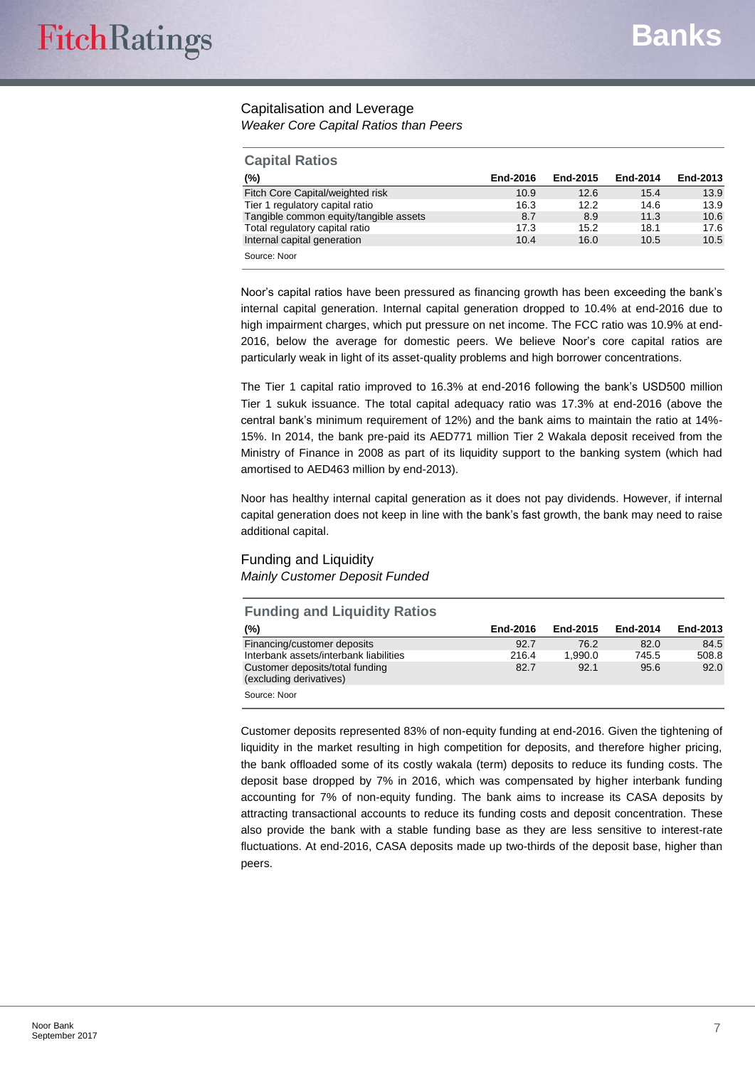# Capitalisation and Leverage

*Weaker Core Capital Ratios than Peers*

| <b>Capital Ratios</b>                  |          |          |          |          |
|----------------------------------------|----------|----------|----------|----------|
| (%)                                    | End-2016 | End-2015 | End-2014 | End-2013 |
| Fitch Core Capital/weighted risk       | 10.9     | 12.6     | 15.4     | 13.9     |
| Tier 1 regulatory capital ratio        | 16.3     | 12.2     | 14.6     | 13.9     |
| Tangible common equity/tangible assets | 8.7      | 8.9      | 11.3     | 10.6     |
| Total regulatory capital ratio         | 17.3     | 15.2     | 18.1     | 17.6     |
| Internal capital generation            | 10.4     | 16.0     | 10.5     | 10.5     |
| Source: Noor                           |          |          |          |          |

Noor's capital ratios have been pressured as financing growth has been exceeding the bank's internal capital generation. Internal capital generation dropped to 10.4% at end-2016 due to high impairment charges, which put pressure on net income. The FCC ratio was 10.9% at end-2016, below the average for domestic peers. We believe Noor's core capital ratios are particularly weak in light of its asset-quality problems and high borrower concentrations.

The Tier 1 capital ratio improved to 16.3% at end-2016 following the bank's USD500 million Tier 1 sukuk issuance. The total capital adequacy ratio was 17.3% at end-2016 (above the central bank's minimum requirement of 12%) and the bank aims to maintain the ratio at 14%- 15%. In 2014, the bank pre-paid its AED771 million Tier 2 Wakala deposit received from the Ministry of Finance in 2008 as part of its liquidity support to the banking system (which had amortised to AED463 million by end-2013).

Noor has healthy internal capital generation as it does not pay dividends. However, if internal capital generation does not keep in line with the bank's fast growth, the bank may need to raise additional capital.

#### Funding and Liquidity *Mainly Customer Deposit Funded*

| <b>Funding and Liquidity Ratios</b>                        |          |          |          |          |
|------------------------------------------------------------|----------|----------|----------|----------|
| $(\%)$                                                     | End-2016 | End-2015 | End-2014 | End-2013 |
| Financing/customer deposits                                | 92.7     | 76.2     | 82.0     | 84.5     |
| Interbank assets/interbank liabilities                     | 216.4    | 1.990.0  | 745.5    | 508.8    |
| Customer deposits/total funding<br>(excluding derivatives) | 82.7     | 92.1     | 95.6     | 92.0     |
| Source: Noor                                               |          |          |          |          |

Customer deposits represented 83% of non-equity funding at end-2016. Given the tightening of liquidity in the market resulting in high competition for deposits, and therefore higher pricing, the bank offloaded some of its costly wakala (term) deposits to reduce its funding costs. The deposit base dropped by 7% in 2016, which was compensated by higher interbank funding accounting for 7% of non-equity funding. The bank aims to increase its CASA deposits by attracting transactional accounts to reduce its funding costs and deposit concentration. These also provide the bank with a stable funding base as they are less sensitive to interest-rate fluctuations. At end-2016, CASA deposits made up two-thirds of the deposit base, higher than peers.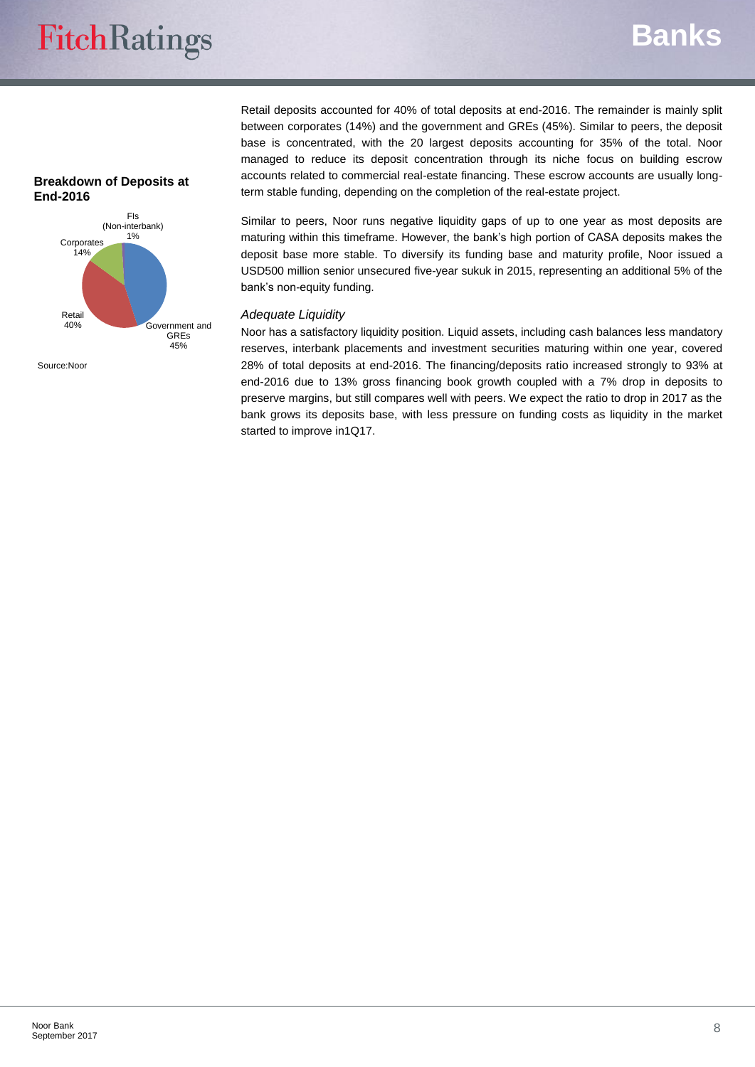# **Banks**

#### **Breakdown of Deposits at End-2016**



Source:Noor

Retail deposits accounted for 40% of total deposits at end-2016. The remainder is mainly split between corporates (14%) and the government and GREs (45%). Similar to peers, the deposit base is concentrated, with the 20 largest deposits accounting for 35% of the total. Noor managed to reduce its deposit concentration through its niche focus on building escrow accounts related to commercial real-estate financing. These escrow accounts are usually longterm stable funding, depending on the completion of the real-estate project.

Similar to peers, Noor runs negative liquidity gaps of up to one year as most deposits are maturing within this timeframe. However, the bank's high portion of CASA deposits makes the deposit base more stable. To diversify its funding base and maturity profile, Noor issued a USD500 million senior unsecured five-year sukuk in 2015, representing an additional 5% of the bank's non-equity funding.

#### *Adequate Liquidity*

Noor has a satisfactory liquidity position. Liquid assets, including cash balances less mandatory reserves, interbank placements and investment securities maturing within one year, covered 28% of total deposits at end-2016. The financing/deposits ratio increased strongly to 93% at end-2016 due to 13% gross financing book growth coupled with a 7% drop in deposits to preserve margins, but still compares well with peers. We expect the ratio to drop in 2017 as the bank grows its deposits base, with less pressure on funding costs as liquidity in the market started to improve in1Q17.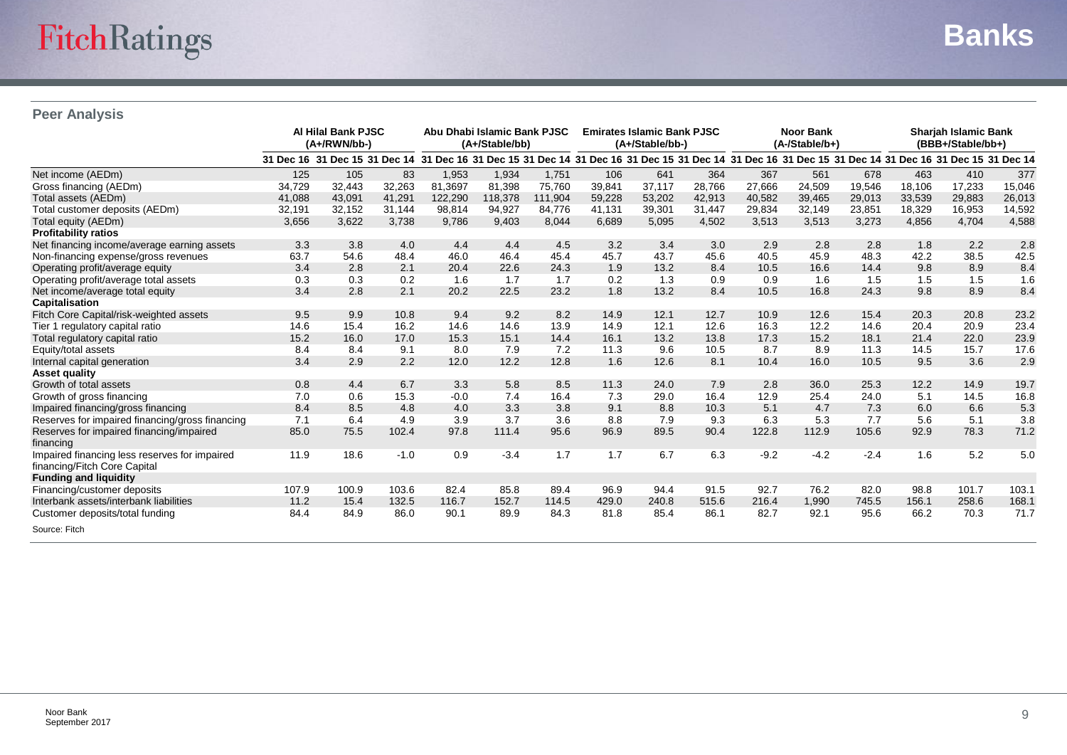# **Peer Analysis**

|                                                 |        | <b>Al Hilal Bank PJSC</b><br>(A+/RWN/bb-)                                                                                                                                                                         |        | Abu Dhabi Islamic Bank PJSC<br>(A+/Stable/bb) |         | <b>Emirates Islamic Bank PJSC</b><br>(A+/Stable/bb-) |        | <b>Noor Bank</b><br>(A-/Stable/b+) |        |        | <b>Shariah Islamic Bank</b><br>(BBB+/Stable/bb+) |        |        |        |        |
|-------------------------------------------------|--------|-------------------------------------------------------------------------------------------------------------------------------------------------------------------------------------------------------------------|--------|-----------------------------------------------|---------|------------------------------------------------------|--------|------------------------------------|--------|--------|--------------------------------------------------|--------|--------|--------|--------|
|                                                 |        | 31 Dec 16 31 Dec 15 31 Dec 14 31 Dec 16 31 Dec 15 31 Dec 14 31 Dec 16 31 Dec 15 31 Dec 14 31 Dec 16 31 Dec 15 31 Dec 14 31 Dec 16 31 Dec 15 31 Dec 15 31 Dec 15 31 Dec 15 31 Dec 16 91 Dec 16 91 Dec 15 31 Dec 14 |        |                                               |         |                                                      |        |                                    |        |        |                                                  |        |        |        |        |
| Net income (AEDm)                               | 125    | 105                                                                                                                                                                                                               | 83     | 1,953                                         | 1,934   | 1,751                                                | 106    | 641                                | 364    | 367    | 561                                              | 678    | 463    | 410    | 377    |
| Gross financing (AEDm)                          | 34,729 | 32,443                                                                                                                                                                                                            | 32,263 | 81,3697                                       | 81,398  | 75,760                                               | 39,841 | 37,117                             | 28,766 | 27,666 | 24,509                                           | 19,546 | 18.106 | 17,233 | 15,046 |
| Total assets (AEDm)                             | 41,088 | 43,091                                                                                                                                                                                                            | 41,291 | 122,290                                       | 118,378 | 111,904                                              | 59,228 | 53,202                             | 42,913 | 40,582 | 39,465                                           | 29,013 | 33,539 | 29,883 | 26,013 |
| Total customer deposits (AEDm)                  | 32,191 | 32,152                                                                                                                                                                                                            | 31,144 | 98,814                                        | 94,927  | 84,776                                               | 41,131 | 39,301                             | 31,447 | 29,834 | 32,149                                           | 23,851 | 18,329 | 16,953 | 14,592 |
| Total equity (AEDm)                             | 3,656  | 3,622                                                                                                                                                                                                             | 3,738  | 9.786                                         | 9,403   | 8,044                                                | 6.689  | 5,095                              | 4,502  | 3,513  | 3,513                                            | 3,273  | 4,856  | 4,704  | 4,588  |
| <b>Profitability ratios</b>                     |        |                                                                                                                                                                                                                   |        |                                               |         |                                                      |        |                                    |        |        |                                                  |        |        |        |        |
| Net financing income/average earning assets     | 3.3    | 3.8                                                                                                                                                                                                               | 4.0    | 4.4                                           | 4.4     | 4.5                                                  | 3.2    | 3.4                                | 3.0    | 2.9    | 2.8                                              | 2.8    | 1.8    | 2.2    | 2.8    |
| Non-financing expense/gross revenues            | 63.7   | 54.6                                                                                                                                                                                                              | 48.4   | 46.0                                          | 46.4    | 45.4                                                 | 45.7   | 43.7                               | 45.6   | 40.5   | 45.9                                             | 48.3   | 42.2   | 38.5   | 42.5   |
| Operating profit/average equity                 | 3.4    | 2.8                                                                                                                                                                                                               | 2.1    | 20.4                                          | 22.6    | 24.3                                                 | 1.9    | 13.2                               | 8.4    | 10.5   | 16.6                                             | 14.4   | 9.8    | 8.9    | 8.4    |
| Operating profit/average total assets           | 0.3    | 0.3                                                                                                                                                                                                               | 0.2    | 1.6                                           | 1.7     | 1.7                                                  | 0.2    | 1.3                                | 0.9    | 0.9    | 1.6                                              | 1.5    | 1.5    | 1.5    | 1.6    |
| Net income/average total equity                 | 3.4    | 2.8                                                                                                                                                                                                               | 2.1    | 20.2                                          | 22.5    | 23.2                                                 | 1.8    | 13.2                               | 8.4    | 10.5   | 16.8                                             | 24.3   | 9.8    | 8.9    | 8.4    |
| Capitalisation                                  |        |                                                                                                                                                                                                                   |        |                                               |         |                                                      |        |                                    |        |        |                                                  |        |        |        |        |
| Fitch Core Capital/risk-weighted assets         | 9.5    | 9.9                                                                                                                                                                                                               | 10.8   | 9.4                                           | 9.2     | 8.2                                                  | 14.9   | 12.1                               | 12.7   | 10.9   | 12.6                                             | 15.4   | 20.3   | 20.8   | 23.2   |
| Tier 1 regulatory capital ratio                 | 14.6   | 15.4                                                                                                                                                                                                              | 16.2   | 14.6                                          | 14.6    | 13.9                                                 | 14.9   | 12.1                               | 12.6   | 16.3   | 12.2                                             | 14.6   | 20.4   | 20.9   | 23.4   |
| Total regulatory capital ratio                  | 15.2   | 16.0                                                                                                                                                                                                              | 17.0   | 15.3                                          | 15.1    | 14.4                                                 | 16.1   | 13.2                               | 13.8   | 17.3   | 15.2                                             | 18.1   | 21.4   | 22.0   | 23.9   |
| Equity/total assets                             | 8.4    | 8.4                                                                                                                                                                                                               | 9.1    | 8.0                                           | 7.9     | 7.2                                                  | 11.3   | 9.6                                | 10.5   | 8.7    | 8.9                                              | 11.3   | 14.5   | 15.7   | 17.6   |
| Internal capital generation                     | 3.4    | 2.9                                                                                                                                                                                                               | 2.2    | 12.0                                          | 12.2    | 12.8                                                 | 1.6    | 12.6                               | 8.1    | 10.4   | 16.0                                             | 10.5   | 9.5    | 3.6    | 2.9    |
| <b>Asset quality</b>                            |        |                                                                                                                                                                                                                   |        |                                               |         |                                                      |        |                                    |        |        |                                                  |        |        |        |        |
| Growth of total assets                          | 0.8    | 4.4                                                                                                                                                                                                               | 6.7    | 3.3                                           | 5.8     | 8.5                                                  | 11.3   | 24.0                               | 7.9    | 2.8    | 36.0                                             | 25.3   | 12.2   | 14.9   | 19.7   |
| Growth of gross financing                       | 7.0    | 0.6                                                                                                                                                                                                               | 15.3   | $-0.0$                                        | 7.4     | 16.4                                                 | 7.3    | 29.0                               | 16.4   | 12.9   | 25.4                                             | 24.0   | 5.1    | 14.5   | 16.8   |
| Impaired financing/gross financing              | 8.4    | 8.5                                                                                                                                                                                                               | 4.8    | 4.0                                           | 3.3     | 3.8                                                  | 9.1    | 8.8                                | 10.3   | 5.1    | 4.7                                              | 7.3    | 6.0    | 6.6    | 5.3    |
| Reserves for impaired financing/gross financing | 7.1    | 6.4                                                                                                                                                                                                               | 4.9    | 3.9                                           | 3.7     | 3.6                                                  | 8.8    | 7.9                                | 9.3    | 6.3    | 5.3                                              | 7.7    | 5.6    | 5.1    | 3.8    |
| Reserves for impaired financing/impaired        | 85.0   | 75.5                                                                                                                                                                                                              | 102.4  | 97.8                                          | 111.4   | 95.6                                                 | 96.9   | 89.5                               | 90.4   | 122.8  | 112.9                                            | 105.6  | 92.9   | 78.3   | 71.2   |
| financing                                       |        |                                                                                                                                                                                                                   |        |                                               |         |                                                      |        |                                    |        |        |                                                  |        |        |        |        |
| Impaired financing less reserves for impaired   | 11.9   | 18.6                                                                                                                                                                                                              | $-1.0$ | 0.9                                           | $-3.4$  | 1.7                                                  | 1.7    | 6.7                                | 6.3    | $-9.2$ | $-4.2$                                           | $-2.4$ | 1.6    | 5.2    | 5.0    |
| financing/Fitch Core Capital                    |        |                                                                                                                                                                                                                   |        |                                               |         |                                                      |        |                                    |        |        |                                                  |        |        |        |        |
| <b>Funding and liquidity</b>                    |        |                                                                                                                                                                                                                   |        |                                               |         |                                                      |        |                                    |        |        |                                                  |        |        |        |        |
| Financing/customer deposits                     | 107.9  | 100.9                                                                                                                                                                                                             | 103.6  | 82.4                                          | 85.8    | 89.4                                                 | 96.9   | 94.4                               | 91.5   | 92.7   | 76.2                                             | 82.0   | 98.8   | 101.7  | 103.1  |
| Interbank assets/interbank liabilities          | 11.2   | 15.4                                                                                                                                                                                                              | 132.5  | 116.7                                         | 152.7   | 114.5                                                | 429.0  | 240.8                              | 515.6  | 216.4  | 1,990                                            | 745.5  | 156.1  | 258.6  | 168.1  |
| Customer deposits/total funding                 | 84.4   | 84.9                                                                                                                                                                                                              | 86.0   | 90.1                                          | 89.9    | 84.3                                                 | 81.8   | 85.4                               | 86.1   | 82.7   | 92.1                                             | 95.6   | 66.2   | 70.3   | 71.7   |
| Source: Fitch                                   |        |                                                                                                                                                                                                                   |        |                                               |         |                                                      |        |                                    |        |        |                                                  |        |        |        |        |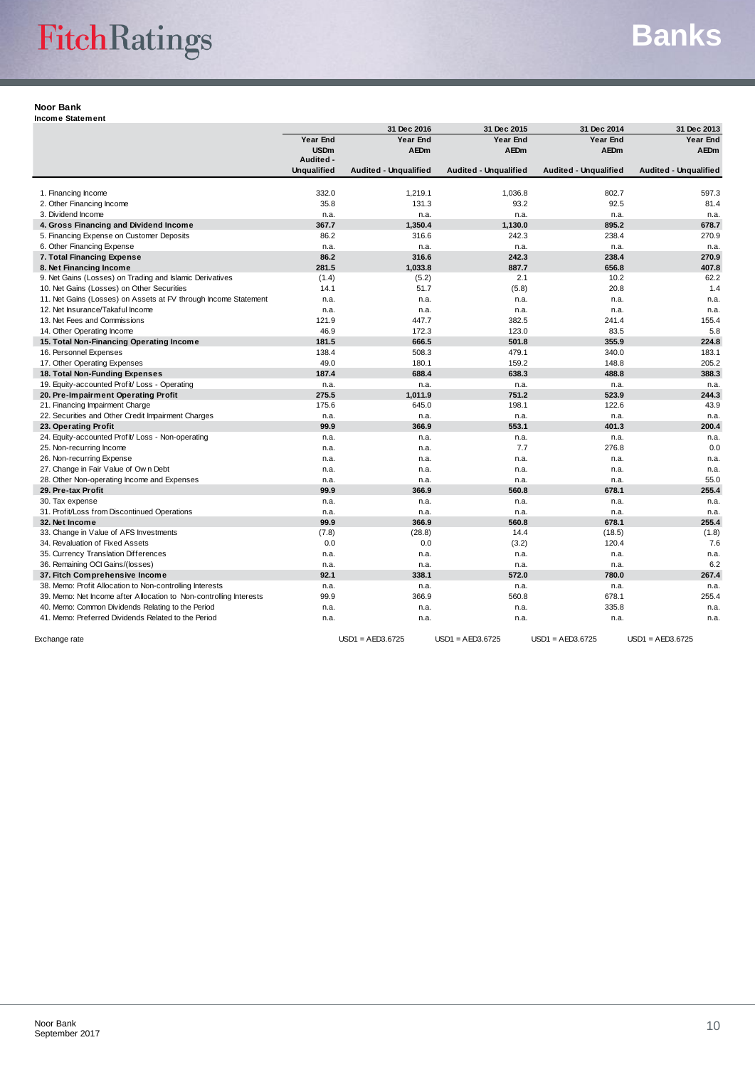# **Banks**

#### **Noor Bank**

**Income Statement**

|                                                                    |                    | 31 Dec 2016           | 31 Dec 2015                  | 31 Dec 2014                  | 31 Dec 2013                  |
|--------------------------------------------------------------------|--------------------|-----------------------|------------------------------|------------------------------|------------------------------|
|                                                                    | Year End           | Year End              | Year End                     | <b>Year End</b>              | Year End                     |
|                                                                    | <b>USDm</b>        | <b>AEDm</b>           | <b>AEDm</b>                  | AEDm                         | <b>AEDm</b>                  |
|                                                                    | Audited -          |                       |                              |                              |                              |
|                                                                    | <b>Unqualified</b> | Audited - Unqualified | <b>Audited - Unqualified</b> | <b>Audited - Unqualified</b> | <b>Audited - Unqualified</b> |
|                                                                    |                    |                       |                              |                              |                              |
| 1. Financing Income                                                | 332.0              | 1,219.1               | 1,036.8                      | 802.7                        | 597.3                        |
| 2. Other Financing Income                                          | 35.8               | 131.3                 | 93.2                         | 92.5                         | 81.4                         |
| 3. Dividend Income                                                 | n.a.               | n.a.                  | n.a.                         | n.a.                         | n.a.                         |
| 4. Gross Financing and Dividend Income                             | 367.7              | 1,350.4               | 1,130.0                      | 895.2                        | 678.7                        |
| 5. Financing Expense on Customer Deposits                          | 86.2               | 316.6                 | 242.3                        | 238.4                        | 270.9                        |
| 6. Other Financing Expense                                         | n.a.               | n.a.                  | n.a.                         | n.a.                         | n.a.                         |
| 7. Total Financing Expense                                         | 86.2               | 316.6                 | 242.3                        | 238.4                        | 270.9                        |
| 8. Net Financing Income                                            | 281.5              | 1,033.8               | 887.7                        | 656.8                        | 407.8                        |
| 9. Net Gains (Losses) on Trading and Islamic Derivatives           | (1.4)              | (5.2)                 | 2.1                          | 10.2                         | 62.2                         |
| 10. Net Gains (Losses) on Other Securities                         | 14.1               | 51.7                  | (5.8)                        | 20.8                         | 1.4                          |
| 11. Net Gains (Losses) on Assets at FV through Income Statement    | n.a.               | n.a.                  | n.a.                         | n.a.                         | n.a.                         |
| 12. Net Insurance/Takaful Income                                   | n.a.               | n.a.                  | n.a.                         | n.a.                         | n.a.                         |
| 13. Net Fees and Commissions                                       | 121.9              | 447.7                 | 382.5                        | 241.4                        | 155.4                        |
| 14. Other Operating Income                                         | 46.9               | 172.3                 | 123.0                        | 83.5                         | 5.8                          |
| 15. Total Non-Financing Operating Income                           | 181.5              | 666.5                 | 501.8                        | 355.9                        | 224.8                        |
| 16. Personnel Expenses                                             | 138.4              | 508.3                 | 479.1                        | 340.0                        | 183.1                        |
| 17. Other Operating Expenses                                       | 49.0               | 180.1                 | 159.2                        | 148.8                        | 205.2                        |
| 18. Total Non-Funding Expenses                                     | 187.4              | 688.4                 | 638.3                        | 488.8                        | 388.3                        |
| 19. Equity-accounted Profit/ Loss - Operating                      | n.a.               | n.a.                  | n.a.                         | n.a.                         | n.a.                         |
| 20. Pre-Impairment Operating Profit                                | 275.5              | 1,011.9               | 751.2                        | 523.9                        | 244.3                        |
| 21. Financing Impairment Charge                                    | 175.6              | 645.0                 | 198.1                        | 122.6                        | 43.9                         |
| 22. Securities and Other Credit Impairment Charges                 | n.a.               | n.a.                  | n.a.                         | n.a.                         | n.a.                         |
| 23. Operating Profit                                               | 99.9               | 366.9                 | 553.1                        | 401.3                        | 200.4                        |
| 24. Equity-accounted Profit/ Loss - Non-operating                  | n.a.               | n.a.                  | n.a.                         | n.a.                         | n.a.                         |
| 25. Non-recurring Income                                           | n.a.               | n.a.                  | 7.7                          | 276.8                        | 0.0                          |
| 26. Non-recurring Expense                                          | n.a.               | n.a.                  | n.a.                         | n.a.                         | n.a.                         |
| 27. Change in Fair Value of Own Debt                               | n.a.               | n.a.                  | n.a.                         | n.a.                         | n.a.                         |
| 28. Other Non-operating Income and Expenses                        | n.a.               | n.a.                  | n.a.                         | n.a.                         | 55.0                         |
| 29. Pre-tax Profit                                                 | 99.9               | 366.9                 | 560.8                        | 678.1                        | 255.4                        |
| 30. Tax expense                                                    | n.a.               | n.a.                  | n.a.                         | n.a.                         | n.a.                         |
| 31. Profit/Loss from Discontinued Operations                       | n.a.               | n.a.                  | n.a.                         | n.a.                         | n.a.                         |
| 32. Net Income                                                     | 99.9               | 366.9                 | 560.8                        | 678.1                        | 255.4                        |
| 33. Change in Value of AFS Investments                             | (7.8)              | (28.8)                | 14.4                         | (18.5)                       | (1.8)                        |
| 34. Revaluation of Fixed Assets                                    | 0.0                | 0.0                   | (3.2)                        | 120.4                        | 7.6                          |
| 35. Currency Translation Differences                               | n.a.               | n.a.                  | n.a.                         | n.a.                         | n.a.                         |
| 36. Remaining OCI Gains/(losses)                                   | n.a.               | n.a.                  | n.a.                         | n.a.                         | 6.2                          |
| 37. Fitch Comprehensive Income                                     | 92.1               | 338.1                 | 572.0                        | 780.0                        | 267.4                        |
| 38. Memo: Profit Allocation to Non-controlling Interests           | n.a.               | n.a.                  | n.a.                         | n.a.                         | n.a.                         |
| 39. Memo: Net Income after Allocation to Non-controlling Interests | 99.9               | 366.9                 | 560.8                        | 678.1                        | 255.4                        |
| 40. Memo: Common Dividends Relating to the Period                  | n.a.               | n.a.                  | n.a.                         | 335.8                        | n.a.                         |
| 41. Memo: Preferred Dividends Related to the Period                | n.a.               | n.a.                  | n.a.                         | n.a.                         | n.a.                         |
| Exchange rate                                                      |                    | $USD1 = AED3.6725$    | $USD1 = AED3.6725$           | $USD1 = AED3.6725$           | $USD1 = AED3.6725$           |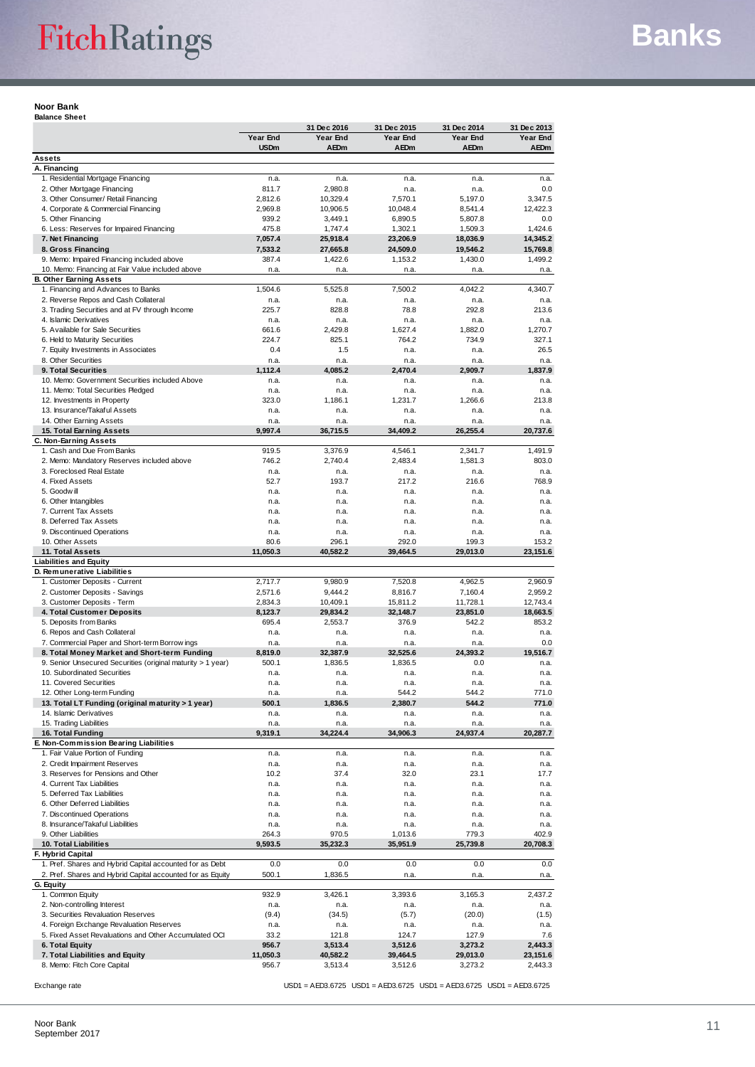**Noor Bank Balance Sheet**

|                                                                                                |                         | 31 Dec 2016             | 31 Dec 2015             | 31 Dec 2014                                                         | 31 Dec 2013             |
|------------------------------------------------------------------------------------------------|-------------------------|-------------------------|-------------------------|---------------------------------------------------------------------|-------------------------|
|                                                                                                | Year End<br><b>USDm</b> | Year End<br><b>AEDm</b> | Year End<br><b>AEDm</b> | Year End<br>AEDm                                                    | Year End<br><b>AEDm</b> |
| <b>Assets</b>                                                                                  |                         |                         |                         |                                                                     |                         |
| A. Financing                                                                                   |                         |                         |                         |                                                                     |                         |
| 1. Residential Mortgage Financing                                                              | n.a.                    | n.a.                    | n.a.                    | n.a.                                                                | n.a.                    |
| 2. Other Mortgage Financing                                                                    | 811.7                   | 2,980.8                 | n.a.                    | n.a.                                                                | 0.0                     |
| 3. Other Consumer/ Retail Financing<br>4. Corporate & Commercial Financing                     | 2,812.6<br>2,969.8      | 10,329.4<br>10,906.5    | 7,570.1<br>10,048.4     | 5,197.0<br>8,541.4                                                  | 3,347.5<br>12,422.3     |
| 5. Other Financing                                                                             | 939.2                   | 3,449.1                 | 6,890.5                 | 5,807.8                                                             | 0.0                     |
| 6. Less: Reserves for Impaired Financing                                                       | 475.8                   | 1,747.4                 | 1,302.1                 | 1,509.3                                                             | 1,424.6                 |
| 7. Net Financing                                                                               | 7,057.4                 | 25,918.4                | 23,206.9                | 18,036.9                                                            | 14,345.2                |
| 8. Gross Financing                                                                             | 7,533.2                 | 27.665.8                | 24,509.0                | 19,546.2                                                            | 15,769.8                |
| 9. Memo: Impaired Financing included above<br>10. Memo: Financing at Fair Value included above | 387.4                   | 1,422.6                 | 1,153.2                 | 1,430.0                                                             | 1,499.2                 |
| <b>B. Other Earning Assets</b>                                                                 | n.a.                    | n.a.                    | n.a.                    | n.a.                                                                | n.a.                    |
| 1. Financing and Advances to Banks                                                             | 1,504.6                 | 5,525.8                 | 7,500.2                 | 4,042.2                                                             | 4,340.7                 |
| 2. Reverse Repos and Cash Collateral                                                           | n.a.                    | n.a.                    | n.a.                    | n.a.                                                                | n.a.                    |
| 3. Trading Securities and at FV through Income                                                 | 225.7                   | 828.8                   | 78.8                    | 292.8                                                               | 213.6                   |
| 4. Islamic Derivatives                                                                         | n.a.                    | n.a.                    | n.a.                    | n.a.                                                                | n.a.                    |
| 5. Available for Sale Securities<br>6. Held to Maturity Securities                             | 661.6<br>224.7          | 2,429.8<br>825.1        | 1,627.4<br>764.2        | 1,882.0<br>734.9                                                    | 1,270.7<br>327.1        |
| 7. Equity Investments in Associates                                                            | 0.4                     | 1.5                     | n.a.                    | n.a.                                                                | 26.5                    |
| 8. Other Securities                                                                            | n.a.                    | n.a.                    | n.a.                    | n.a.                                                                | n.a.                    |
| 9. Total Securities                                                                            | 1,112.4                 | 4,085.2                 | 2,470.4                 | 2,909.7                                                             | 1,837.9                 |
| 10. Memo: Government Securities included Above                                                 | n.a.                    | n.a.                    | n.a.                    | n.a.                                                                | n.a.                    |
| 11. Memo: Total Securities Pledged                                                             | n.a.                    | n.a.                    | n.a.                    | n.a.                                                                | n.a.                    |
| 12. Investments in Property                                                                    | 323.0                   | 1,186.1                 | 1,231.7                 | 1,266.6                                                             | 213.8                   |
| 13. Insurance/Takaful Assets<br>14. Other Earning Assets                                       | n.a.<br>n.a.            | n.a.<br>n.a.            | n.a.<br>n.a.            | n.a.<br>n.a.                                                        | n.a.<br>n.a.            |
| 15. Total Earning Assets                                                                       | 9,997.4                 | 36,715.5                | 34,409.2                | 26,255.4                                                            | 20,737.6                |
| C. Non-Earning Assets                                                                          |                         |                         |                         |                                                                     |                         |
| 1. Cash and Due From Banks                                                                     | 919.5                   | 3,376.9                 | 4,546.1                 | 2.341.7                                                             | 1,491.9                 |
| 2. Memo: Mandatory Reserves included above                                                     | 746.2                   | 2.740.4                 | 2.483.4                 | 1,581.3                                                             | 803.0                   |
| 3. Foreclosed Real Estate                                                                      | n.a.                    | n.a.                    | n.a.                    | n.a.                                                                | n.a.                    |
| 4. Fixed Assets                                                                                | 52.7                    | 193.7                   | 217.2                   | 216.6                                                               | 768.9                   |
| 5. Goodwill                                                                                    | n.a.                    | n.a.                    | n.a.                    | n.a.                                                                | n.a.                    |
| 6. Other Intangibles<br>7. Current Tax Assets                                                  | n.a.<br>n.a.            | n.a.<br>n.a.            | n.a.<br>n.a.            | n.a.<br>n.a.                                                        | n.a.<br>n.a.            |
| 8. Deferred Tax Assets                                                                         | n.a.                    | n.a.                    | n.a.                    | n.a.                                                                | n.a.                    |
| 9. Discontinued Operations                                                                     | n.a.                    | n.a.                    | n.a.                    | n.a.                                                                | n.a.                    |
| 10. Other Assets                                                                               | 80.6                    | 296.1                   | 292.0                   | 199.3                                                               | 153.2                   |
| 11. Total Assets                                                                               | 11,050.3                | 40,582.2                | 39,464.5                | 29,013.0                                                            | 23,151.6                |
| <b>Liabilities and Equity</b>                                                                  |                         |                         |                         |                                                                     |                         |
| D. Remunerative Liabilities<br>1. Customer Deposits - Current                                  | 2,717.7                 | 9,980.9                 | 7,520.8                 | 4,962.5                                                             | 2,960.9                 |
| 2. Customer Deposits - Savings                                                                 | 2,571.6                 | 9,444.2                 | 8,816.7                 | 7,160.4                                                             | 2,959.2                 |
| 3. Customer Deposits - Term                                                                    | 2,834.3                 | 10,409.1                | 15,811.2                | 11,728.1                                                            | 12,743.4                |
| 4. Total Customer Deposits                                                                     | 8,123.7                 | 29,834.2                | 32,148.7                | 23,851.0                                                            | 18,663.5                |
| 5. Deposits from Banks                                                                         | 695.4                   | 2,553.7                 | 376.9                   | 542.2                                                               | 853.2                   |
| 6. Repos and Cash Collateral                                                                   | n.a.                    | n.a.                    | n.a.                    | n.a.                                                                | n.a.                    |
| 7. Commercial Paper and Short-term Borrow ings                                                 | n.a.                    | n.a.                    | n.a.                    | n.a.                                                                | 0.0                     |
| 8. Total Money Market and Short-term Funding                                                   | 8,819.0                 | 32,387.9                | 32,525.6<br>1.836.5     | 24,393.2                                                            | 19,516.7                |
| 9. Senior Unsecured Securities (original maturity > 1 year)<br>10. Subordinated Securities     | 500.1<br>n.a.           | 1,836.5<br>n.a.         | n.a.                    | 0.0<br>n.a.                                                         | n.a.<br>n.a.            |
| 11. Covered Securities                                                                         | n.a.                    | n.a.                    | n.a.                    | n.a.                                                                | n.a.                    |
| 12. Other Long-term Funding                                                                    | n.a.                    | n.a.                    | 544.2                   | 544.2                                                               | 771.0                   |
| 13. Total LT Funding (original maturity > 1 year)                                              | 500.1                   | 1,836.5                 | 2,380.7                 | 544.2                                                               | 771.0                   |
| 14. Islamic Derivatives                                                                        | n.a.                    | n.a.                    | n.a.                    | n.a.                                                                | n.a.                    |
| 15. Trading Liabilities                                                                        | n.a.                    | n.a.                    | n.a.                    | n.a.                                                                | n.a.                    |
| 16. Total Funding<br>E. Non-Commission Bearing Liabilities                                     | 9,319.1                 | 34,224.4                | 34,906.3                | 24,937.4                                                            | 20,287.7                |
| 1. Fair Value Portion of Funding                                                               | n.a.                    | n.a.                    | n.a.                    | n.a.                                                                | n.a.                    |
| 2. Credit Impairment Reserves                                                                  | n.a.                    | n.a.                    | n.a.                    | n.a.                                                                | n.a.                    |
| 3. Reserves for Pensions and Other                                                             | 10.2                    | 37.4                    | 32.0                    | 23.1                                                                | 17.7                    |
| 4. Current Tax Liabilities                                                                     | n.a.                    | n.a.                    | n.a.                    | n.a.                                                                | n.a.                    |
| 5. Deferred Tax Liabilities                                                                    | n.a.                    | n.a.                    | n.a.                    | n.a.                                                                | n.a.                    |
| 6. Other Deferred Liabilities                                                                  | n.a.                    | n.a.                    | n.a.                    | n.a.                                                                | n.a.                    |
| 7. Discontinued Operations<br>8. Insurance/Takaful Liabilities                                 | n.a.                    | n.a.                    | n.a.<br>n.a.            | n.a.                                                                | n.a.                    |
| 9. Other Liabilities                                                                           | n.a.<br>264.3           | n.a.<br>970.5           | 1,013.6                 | n.a.<br>779.3                                                       | n.a.<br>402.9           |
| 10. Total Liabilities                                                                          | 9,593.5                 | 35,232.3                | 35,951.9                | 25,739.8                                                            | 20,708.3                |
| F. Hybrid Capital                                                                              |                         |                         |                         |                                                                     |                         |
| 1. Pref. Shares and Hybrid Capital accounted for as Debt                                       | 0.0                     | 0.0                     | 0.0                     | 0.0                                                                 | 0.0                     |
| 2. Pref. Shares and Hybrid Capital accounted for as Equity                                     | 500.1                   | 1,836.5                 | n.a.                    | n.a.                                                                | n.a.                    |
| G. Equity                                                                                      |                         |                         |                         |                                                                     |                         |
| 1. Common Equity                                                                               | 932.9                   | 3,426.1                 | 3,393.6                 | 3,165.3                                                             | 2,437.2                 |
| 2. Non-controlling Interest<br>3. Securities Revaluation Reserves                              | n.a.<br>(9.4)           | n.a.<br>(34.5)          | n.a.<br>(5.7)           | n.a.<br>(20.0)                                                      | n.a.<br>(1.5)           |
| 4. Foreign Exchange Revaluation Reserves                                                       | n.a.                    | n.a.                    | n.a.                    | n.a.                                                                | n.a.                    |
| 5. Fixed Asset Revaluations and Other Accumulated OCI                                          | 33.2                    | 121.8                   | 124.7                   | 127.9                                                               | 7.6                     |
| 6. Total Equity                                                                                | 956.7                   | 3,513.4                 | 3,512.6                 | 3,273.2                                                             | 2,443.3                 |
| 7. Total Liabilities and Equity                                                                | 11,050.3                | 40,582.2                | 39,464.5                | 29,013.0                                                            | 23,151.6                |
| 8. Memo: Fitch Core Capital                                                                    | 956.7                   | 3,513.4                 | 3,512.6                 | 3,273.2                                                             | 2,443.3                 |
| Exchange rate                                                                                  |                         |                         |                         | USD1 = AED3.6725 USD1 = AED3.6725 USD1 = AED3.6725 USD1 = AED3.6725 |                         |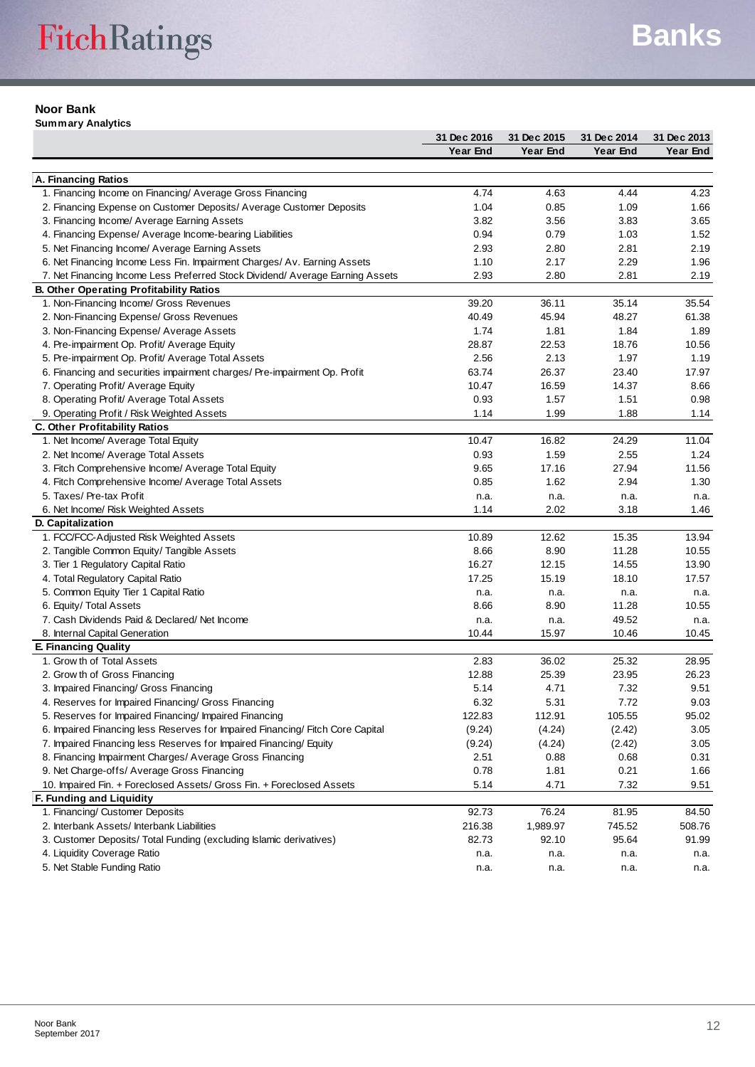#### **Noor Bank**

**Summary Analytics**

|                                                                                                                                | 31 Dec 2016 | 31 Dec 2015 | 31 Dec 2014 | 31 Dec 2013 |
|--------------------------------------------------------------------------------------------------------------------------------|-------------|-------------|-------------|-------------|
|                                                                                                                                | Year End    | Year End    | Year End    | Year End    |
|                                                                                                                                |             |             |             |             |
| A. Financing Ratios                                                                                                            |             |             |             |             |
| 1. Financing Income on Financing/ Average Gross Financing                                                                      | 4.74        | 4.63        | 4.44        | 4.23        |
| 2. Financing Expense on Customer Deposits/ Average Customer Deposits                                                           | 1.04        | 0.85        | 1.09        | 1.66        |
| 3. Financing Income/ Average Earning Assets                                                                                    | 3.82        | 3.56        | 3.83        | 3.65        |
| 4. Financing Expense/ Average Income-bearing Liabilities                                                                       | 0.94        | 0.79        | 1.03        | 1.52        |
| 5. Net Financing Income/ Average Earning Assets                                                                                | 2.93        | 2.80        | 2.81        | 2.19        |
| 6. Net Financing Income Less Fin. Impairment Charges/Av. Earning Assets                                                        | 1.10        | 2.17        | 2.29        | 1.96        |
| 7. Net Financing Income Less Preferred Stock Dividend/Average Earning Assets<br><b>B. Other Operating Profitability Ratios</b> | 2.93        | 2.80        | 2.81        | 2.19        |
| 1. Non-Financing Income/ Gross Revenues                                                                                        | 39.20       | 36.11       | 35.14       | 35.54       |
| 2. Non-Financing Expense/ Gross Revenues                                                                                       | 40.49       | 45.94       | 48.27       | 61.38       |
| 3. Non-Financing Expense/ Average Assets                                                                                       | 1.74        | 1.81        | 1.84        | 1.89        |
| 4. Pre-impairment Op. Profit/ Average Equity                                                                                   | 28.87       | 22.53       | 18.76       | 10.56       |
| 5. Pre-impairment Op. Profit/ Average Total Assets                                                                             | 2.56        | 2.13        | 1.97        | 1.19        |
| 6. Financing and securities impairment charges/ Pre-impairment Op. Profit                                                      | 63.74       | 26.37       | 23.40       | 17.97       |
| 7. Operating Profit/ Average Equity                                                                                            | 10.47       | 16.59       | 14.37       | 8.66        |
| 8. Operating Profit/ Average Total Assets                                                                                      | 0.93        | 1.57        | 1.51        | 0.98        |
| 9. Operating Profit / Risk Weighted Assets                                                                                     | 1.14        | 1.99        | 1.88        | 1.14        |
| C. Other Profitability Ratios                                                                                                  |             |             |             |             |
| 1. Net Income/ Average Total Equity                                                                                            | 10.47       | 16.82       | 24.29       | 11.04       |
| 2. Net Income/ Average Total Assets                                                                                            | 0.93        | 1.59        | 2.55        | 1.24        |
| 3. Fitch Comprehensive Income/ Average Total Equity                                                                            | 9.65        | 17.16       | 27.94       | 11.56       |
| 4. Fitch Comprehensive Income/ Average Total Assets                                                                            | 0.85        | 1.62        | 2.94        | 1.30        |
| 5. Taxes/ Pre-tax Profit                                                                                                       | n.a.        | n.a.        | n.a.        | n.a.        |
| 6. Net Income/ Risk Weighted Assets                                                                                            | 1.14        | 2.02        | 3.18        | 1.46        |
| D. Capitalization                                                                                                              |             |             |             |             |
| 1. FCC/FCC-Adjusted Risk Weighted Assets                                                                                       | 10.89       | 12.62       | 15.35       | 13.94       |
| 2. Tangible Common Equity/ Tangible Assets                                                                                     | 8.66        | 8.90        | 11.28       | 10.55       |
| 3. Tier 1 Regulatory Capital Ratio                                                                                             | 16.27       | 12.15       | 14.55       | 13.90       |
| 4. Total Regulatory Capital Ratio                                                                                              | 17.25       | 15.19       | 18.10       | 17.57       |
| 5. Common Equity Tier 1 Capital Ratio                                                                                          | n.a.        | n.a.        | n.a.        | n.a.        |
| 6. Equity/ Total Assets                                                                                                        | 8.66        | 8.90        | 11.28       | 10.55       |
| 7. Cash Dividends Paid & Declared/Net Income                                                                                   | n.a.        | n.a.        | 49.52       | n.a.        |
| 8. Internal Capital Generation                                                                                                 | 10.44       | 15.97       | 10.46       | 10.45       |
| <b>E. Financing Quality</b>                                                                                                    |             |             |             |             |
| 1. Grow th of Total Assets                                                                                                     | 2.83        | 36.02       | 25.32       | 28.95       |
| 2. Grow th of Gross Financing                                                                                                  | 12.88       | 25.39       | 23.95       | 26.23       |
| 3. Impaired Financing/ Gross Financing                                                                                         | 5.14        | 4.71        | 7.32        | 9.51        |
| 4. Reserves for Impaired Financing/ Gross Financing                                                                            | 6.32        | 5.31        | 7.72        | 9.03        |
| 5. Reserves for Impaired Financing/ Impaired Financing                                                                         | 122.83      | 112.91      | 105.55      | 95.02       |
| 6. Impaired Financing less Reserves for Impaired Financing/ Fitch Core Capital                                                 | (9.24)      | (4.24)      | (2.42)      | 3.05        |
| 7. Impaired Financing less Reserves for Impaired Financing/ Equity                                                             | (9.24)      | (4.24)      | (2.42)      | 3.05        |
| 8. Financing Impairment Charges/ Average Gross Financing                                                                       | 2.51        | 0.88        | 0.68        | 0.31        |
| 9. Net Charge-offs/ Average Gross Financing                                                                                    | 0.78        | 1.81        | 0.21        | 1.66        |
| 10. Impaired Fin. + Foreclosed Assets/ Gross Fin. + Foreclosed Assets                                                          | 5.14        | 4.71        | 7.32        | 9.51        |
| F. Funding and Liquidity                                                                                                       |             |             |             |             |
| 1. Financing/ Customer Deposits                                                                                                | 92.73       | 76.24       | 81.95       | 84.50       |
| 2. Interbank Assets/ Interbank Liabilities                                                                                     | 216.38      | 1,989.97    | 745.52      | 508.76      |
| 3. Customer Deposits/ Total Funding (excluding Islamic derivatives)                                                            | 82.73       | 92.10       | 95.64       | 91.99       |
| 4. Liquidity Coverage Ratio                                                                                                    | n.a.        | n.a.        | n.a.        | n.a.        |
| 5. Net Stable Funding Ratio                                                                                                    | n.a.        | n.a.        | n.a.        | n.a.        |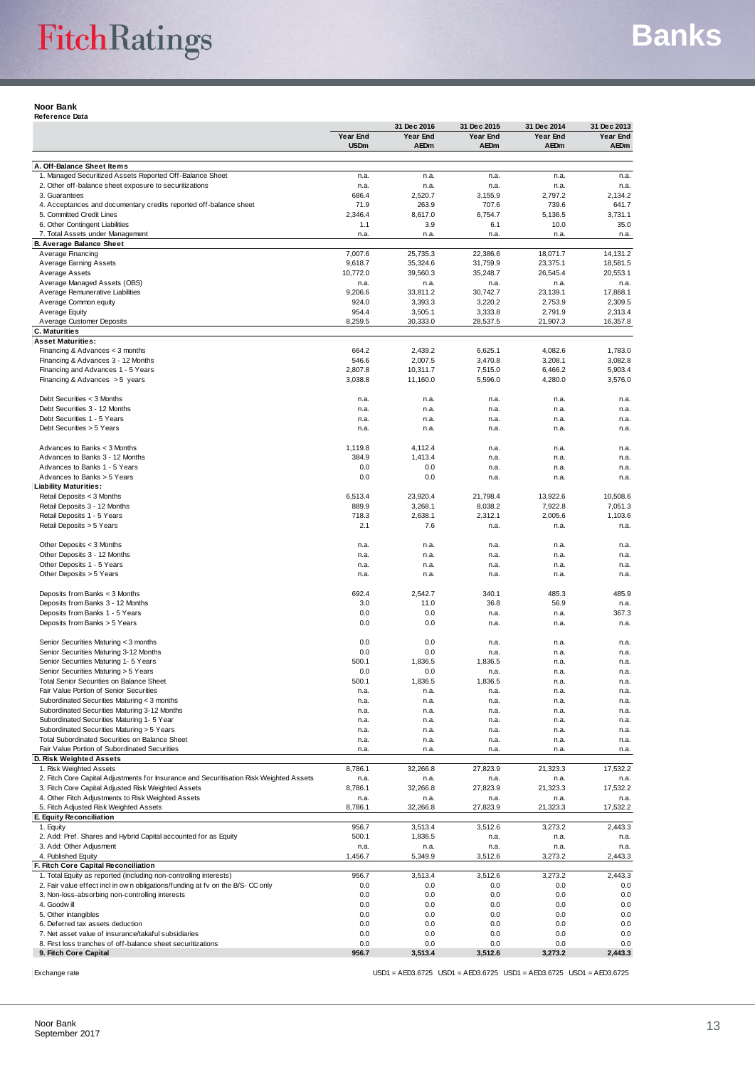**Noor Bank Reference Data**

| Neiereilue Dala                                                                                           |                    | 31 Dec 2016          | 31 Dec 2015         | 31 Dec 2014         | 31 Dec 2013         |
|-----------------------------------------------------------------------------------------------------------|--------------------|----------------------|---------------------|---------------------|---------------------|
|                                                                                                           | Year End           | Year End             | Year End            | Year End            | Year End            |
|                                                                                                           | <b>USDm</b>        | <b>AEDm</b>          | AEDm                | <b>AEDm</b>         | AEDm                |
| A. Off-Balance Sheet Items                                                                                |                    |                      |                     |                     |                     |
| 1. Managed Securitized Assets Reported Off-Balance Sheet                                                  | n.a.               | n.a.                 | n.a.                | n.a.                | n.a.                |
| 2. Other off-balance sheet exposure to securitizations                                                    | n.a.               | n.a.                 | n.a.                | n.a.                | n.a.                |
| 3. Guarantees                                                                                             | 686.4              | 2,520.7              | 3,155.9             | 2,797.2             | 2,134.2             |
| 4. Acceptances and documentary credits reported off-balance sheet                                         | 71.9               | 263.9                | 707.6               | 739.6               | 641.7               |
| 5. Committed Credit Lines                                                                                 | 2,346.4            | 8,617.0              | 6,754.7             | 5,136.5             | 3,731.1             |
| 6. Other Contingent Liabilities<br>7. Total Assets under Management                                       | 1.1<br>n.a.        | 3.9<br>n.a.          | 6.1<br>n.a.         | 10.0<br>n.a.        | 35.0<br>n.a.        |
| <b>B. Average Balance Sheet</b>                                                                           |                    |                      |                     |                     |                     |
| Average Financing                                                                                         | 7,007.6            | 25,735.3             | 22,386.6            | 18,071.7            | 14,131.2            |
| <b>Average Earning Assets</b>                                                                             | 9,618.7            | 35,324.6             | 31,759.9            | 23,375.1            | 18,581.5            |
| Average Assets                                                                                            | 10,772.0           | 39,560.3             | 35,248.7            | 26,545.4            | 20,553.1            |
| Average Managed Assets (OBS)                                                                              | n.a.               | n.a.                 | n.a.                | n.a.                | n.a.                |
| Average Remunerative Liabilities<br>Average Common equity                                                 | 9,206.6<br>924.0   | 33,811.2<br>3,393.3  | 30,742.7<br>3,220.2 | 23,139.1<br>2,753.9 | 17,868.1<br>2,309.5 |
| Average Equity                                                                                            | 954.4              | 3,505.1              | 3,333.8             | 2,791.9             | 2,313.4             |
| Average Customer Deposits                                                                                 | 8,259.5            | 30,333.0             | 28,537.5            | 21,907.3            | 16,357.8            |
| <b>C. Maturities</b>                                                                                      |                    |                      |                     |                     |                     |
| <b>Asset Maturities:</b>                                                                                  |                    |                      |                     |                     |                     |
| Financing & Advances $<$ 3 months                                                                         | 664.2              | 2,439.2              | 6,625.1             | 4,082.6             | 1,783.0             |
| Financing & Advances 3 - 12 Months                                                                        | 546.6              | 2,007.5              | 3,470.8             | 3,208.1             | 3,082.8             |
| Financing and Advances 1 - 5 Years<br>Financing & Advances > 5 years                                      | 2,807.8<br>3,038.8 | 10,311.7<br>11,160.0 | 7,515.0<br>5,596.0  | 6,466.2<br>4,280.0  | 5,903.4<br>3,576.0  |
|                                                                                                           |                    |                      |                     |                     |                     |
| Debt Securities < 3 Months                                                                                | n.a.               | n.a.                 | n.a.                | n.a.                | n.a.                |
| Debt Securities 3 - 12 Months                                                                             | n.a.               | n.a.                 | n.a.                | n.a.                | n.a.                |
| Debt Securities 1 - 5 Years                                                                               | n.a.               | n.a.                 | n.a.                | n.a.                | n.a.                |
| Debt Securities > 5 Years                                                                                 | n.a.               | n.a.                 | n.a.                | n.a.                | n.a.                |
|                                                                                                           |                    |                      |                     |                     |                     |
| Advances to Banks < 3 Months                                                                              | 1,119.8            | 4,112.4              | n.a.                | n.a.                | n.a.                |
| Advances to Banks 3 - 12 Months<br>Advances to Banks 1 - 5 Years                                          | 384.9<br>0.0       | 1,413.4<br>0.0       | n.a.<br>n.a.        | n.a.<br>n.a.        | n.a.                |
| Advances to Banks > 5 Years                                                                               | 0.0                | 0.0                  | n.a.                | n.a.                | n.a.<br>n.a.        |
| <b>Liability Maturities:</b>                                                                              |                    |                      |                     |                     |                     |
| Retail Deposits < 3 Months                                                                                | 6,513.4            | 23,920.4             | 21,798.4            | 13,922.6            | 10,508.6            |
| Retail Deposits 3 - 12 Months                                                                             | 889.9              | 3,268.1              | 8,038.2             | 7,922.8             | 7,051.3             |
| Retail Deposits 1 - 5 Years                                                                               | 718.3              | 2,638.1              | 2,312.1             | 2,005.6             | 1,103.6             |
| Retail Deposits > 5 Years                                                                                 | 2.1                | 7.6                  | n.a.                | n.a.                | n.a.                |
|                                                                                                           |                    |                      |                     |                     |                     |
| Other Deposits < 3 Months<br>Other Deposits 3 - 12 Months                                                 | n.a.<br>n.a.       | n.a.<br>n.a.         | n.a.<br>n.a.        | n.a.<br>n.a.        | n.a.<br>n.a.        |
| Other Deposits 1 - 5 Years                                                                                | n.a.               | n.a.                 | n.a.                | n.a.                | n.a.                |
| Other Deposits > 5 Years                                                                                  | n.a.               | n.a.                 | n.a.                | n.a.                | n.a.                |
|                                                                                                           |                    |                      |                     |                     |                     |
| Deposits from Banks < 3 Months                                                                            | 692.4              | 2,542.7              | 340.1               | 485.3               | 485.9               |
| Deposits from Banks 3 - 12 Months                                                                         | 3.0                | 11.0                 | 36.8                | 56.9                | n.a.                |
| Deposits from Banks 1 - 5 Years                                                                           | 0.0                | 0.0                  | n.a.                | n.a.                | 367.3               |
| Deposits from Banks > 5 Years                                                                             | 0.0                | 0.0                  | n.a.                | n.a.                | n.a.                |
| Senior Securities Maturing < 3 months                                                                     | 0.0                | 0.0                  | n.a.                | n.a.                | n.a.                |
| Senior Securities Maturing 3-12 Months                                                                    | 0.0                | 0.0                  | n.a.                | n.a.                | n.a.                |
| Senior Securities Maturing 1- 5 Years                                                                     | 500.1              | 1,836.5              | 1,836.5             | n.a.                | n.a.                |
| Senior Securities Maturing > 5 Years                                                                      | 0.0                | 0.0                  | n.a.                | n.a.                | n.a.                |
| <b>Total Senior Securities on Balance Sheet</b>                                                           | 500.1              | 1,836.5              | 1,836.5             | n.a.                | n.a.                |
| Fair Value Portion of Senior Securities                                                                   | n.a.               | n.a.                 | n.a.                | n.a.                | n.a.                |
| Subordinated Securities Maturing < 3 months                                                               | n.a.               | n.a.                 | n.a.                | n.a.                | n.a.                |
| Subordinated Securities Maturing 3-12 Months<br>Subordinated Securities Maturing 1- 5 Year                | n.a.<br>n.a.       | n.a.<br>n.a.         | n.a.<br>n.a.        | n.a.<br>n.a.        | n.a.<br>n.a.        |
| Subordinated Securities Maturing > 5 Years                                                                | n.a.               | n.a.                 | n.a.                | n.a.                | n.a.                |
| Total Subordinated Securities on Balance Sheet                                                            | n.a.               | n.a.                 | n.a.                | n.a.                | n.a.                |
| Fair Value Portion of Subordinated Securities                                                             | n.a.               | n.a.                 | n.a.                | n.a.                | n.a.                |
| D. Risk Weighted Assets                                                                                   |                    |                      |                     |                     |                     |
| 1. Risk Weighted Assets                                                                                   | 8,786.1            | 32,266.8             | 27,823.9            | 21,323.3            | 17,532.2            |
| 2. Fitch Core Capital Adjustments for Insurance and Securitisation Risk Weighted Assets                   | n.a.               | n.a.                 | n.a.                | n.a.                | n.a.                |
| 3. Fitch Core Capital Adjusted Risk Weighted Assets<br>4. Other Fitch Adjustments to Risk Weighted Assets | 8,786.1            | 32,266.8             | 27,823.9            | 21,323.3            | 17,532.2            |
| 5. Fitch Adjusted Risk Weighted Assets                                                                    | n.a.<br>8,786.1    | n.a.<br>32,266.8     | n.a.<br>27,823.9    | n.a.<br>21,323.3    | n.a.<br>17,532.2    |
| E. Equity Reconciliation                                                                                  |                    |                      |                     |                     |                     |
| 1. Equity                                                                                                 | 956.7              | 3,513.4              | 3,512.6             | 3,273.2             | 2,443.3             |
| 2. Add: Pref. Shares and Hybrid Capital accounted for as Equity                                           | 500.1              | 1,836.5              | n.a.                | n.a.                | n.a.                |
| 3. Add: Other Adjusment                                                                                   | n.a.               | n.a.                 | n.a.                | n.a.                | n.a.                |
| 4. Published Equity                                                                                       | 1,456.7            | 5,349.9              | 3,512.6             | 3,273.2             | 2,443.3             |
| F. Fitch Core Capital Reconciliation<br>1. Total Equity as reported (including non-controlling interests) | 956.7              | 3,513.4              | 3,512.6             | 3,273.2             | 2,443.3             |
| 2. Fair value effect incl in own obligations/funding at fv on the B/S-CC only                             | 0.0                | 0.0                  | 0.0                 | 0.0                 | 0.0                 |
| 3. Non-loss-absorbing non-controlling interests                                                           | 0.0                | 0.0                  | 0.0                 | 0.0                 | 0.0                 |
| 4. Goodwill                                                                                               | 0.0                | 0.0                  | 0.0                 | 0.0                 | 0.0                 |
| 5. Other intangibles                                                                                      | 0.0                | 0.0                  | 0.0                 | 0.0                 | 0.0                 |
| 6. Deferred tax assets deduction                                                                          | 0.0                | 0.0                  | 0.0                 | 0.0                 | 0.0                 |
| 7. Net asset value of insurance/takaful subsidiaries                                                      | 0.0                | 0.0                  | 0.0                 | 0.0                 | 0.0                 |
| 8. First loss tranches of off-balance sheet securitizations                                               | 0.0                | 0.0                  | 0.0                 | 0.0                 | 0.0                 |
| 9. Fitch Core Capital                                                                                     | 956.7              | 3,513.4              | 3,512.6             | 3,273.2             | 2,443.3             |

Exchange rate USD1 = AED3.6725 USD1 = AED3.6725 USD1 = AED3.6725 USD1 = AED3.6725